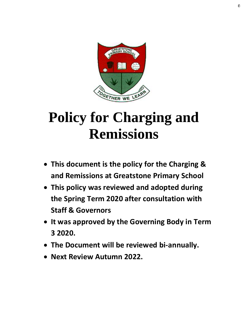

# **Policy for Charging and Remissions**

- **This document is the policy for the Charging & and Remissions at Greatstone Primary School**
- **This policy was reviewed and adopted during the Spring Term 2020 after consultation with Staff & Governors**
- **It was approved by the Governing Body in Term 3 2020.**
- **The Document will be reviewed bi-annually.**
- **Next Review Autumn 2022.**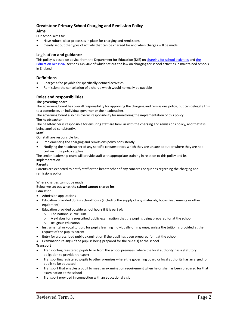# **Greatstone Primary School Charging and Remission Policy Aims**

Our school aims to:

- Have robust, clear processes in place for charging and remissions
- Clearly set out the types of activity that can be charged for and when charges will be made

# **Legislation and guidance**

This policy is based on advice from the Department for Education (DfE) o[n charging for school activities](https://www.gov.uk/government/publications/charging-for-school-activities) and the [Education Act 1996,](http://www.legislation.gov.uk/ukpga/1996/56/part/VI/chapter/III) sections 449-462 of which set out the law on charging for school activities in maintained schools in England.

# **Definitions**

- Charge: a fee payable for specifically defined activities
- Remission: the cancellation of a charge which would normally be payable

# **Roles and responsibilities**

## **The governing board**

The governing board has overall responsibility for approving the charging and remissions policy, but can delegate this to a committee, an individual governor or the headteacher.

The governing board also has overall responsibility for monitoring the implementation of this policy.

## **The headteacher**

The headteacher is responsible for ensuring staff are familiar with the charging and remissions policy, and that it is being applied consistently.

## **Staff**

Our staff are responsible for:

- Implementing the charging and remissions policy consistently
- Notifying the headteacher of any specific circumstances which they are unsure about or where they are not certain if the policy applies

The senior leadership team will provide staff with appropriate training in relation to this policy and its implementation.

# **Parents**

Parents are expected to notify staff or the headteacher of any concerns or queries regarding the charging and remissions policy.

## Where charges cannot be made

## Below we set out **what the school cannot charge for**:

# **Education**

- Admission applications
- Education provided during school hours (including the supply of any materials, books, instruments or other equipment)
- Education provided outside school hours if it is part of:
	- o The national curriculum
	- o A syllabus for a prescribed public examination that the pupil is being prepared for at the school
	- o Religious education
- Instrumental or vocal tuition, for pupils learning individually or in groups, unless the tuition is provided at the request of the pupil's parent
- Entry for a prescribed public examination if the pupil has been prepared for it at the school
- Examination re-sit(s) if the pupil is being prepared for the re-sit(s) at the school

## **Transport**

- Transporting registered pupils to or from the school premises, where the local authority has a statutory obligation to provide transport
- Transporting registered pupils to other premises where the governing board or local authority has arranged for pupils to be educated
- Transport that enables a pupil to meet an examination requirement when he or she has been prepared for that examination at the school
- Transport provided in connection with an educational visit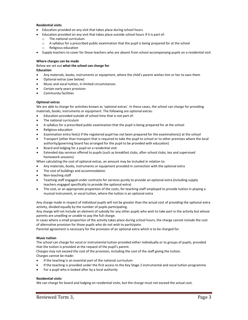## **Residential visits**

- Education provided on any visit that takes place during school hours
- Education provided on any visit that takes place outside school hours if it is part of:
	- o The national curriculum
	- o A syllabus for a prescribed public examination that the pupil is being prepared for at the school
	- o Religious education
- Supply teachers to cover for those teachers who are absent from school accompanying pupils on a residential visit

## **Where charges can be made**

Below we set out **what the school can charge for**.

## **Education**

- Any materials, books, instruments or equipment, where the child's parent wishes him or her to own them
- Optional extras (see below)
- Music and vocal tuition, in limited circumstances
- Certain early years provision
- Community facilities

## **Optional extras**

We are able to charge for activities known as 'optional extras'. In these cases, the school can charge for providing materials, books, instruments or equipment. The following are optional extras:

- Education provided outside of school time that is not part of:
- The national curriculum
- A syllabus for a prescribed public examination that the pupil is being prepared for at the school
- Religious education
- Examination entry fee(s) if the registered pupil has not been prepared for the examination(s) at the school
- Transport (other than transport that is required to take the pupil to school or to other premises where the local authority/governing board has arranged for the pupil to be provided with education)
- Board and lodging for a pupil on a residential visit
- Extended day services offered to pupils (such as breakfast clubs, after-school clubs, tea and supervised homework sessions)

When calculating the cost of optional extras, an amount may be included in relation to:

- Any materials, books, instruments or equipment provided in connection with the optional extra
- The cost of buildings and accommodation
- Non-teaching staff
- Teaching staff engaged under contracts for services purely to provide an optional extra (including supply teachers engaged specifically to provide the optional extra)
- The cost, or an appropriate proportion of the costs, for teaching staff employed to provide tuition in playing a musical instrument, or vocal tuition, where the tuition is an optional extra

Any charge made in respect of individual pupils will not be greater than the actual cost of providing the optional extra activity, divided equally by the number of pupils participating.

Any charge will not include an element of subsidy for any other pupils who wish to take part in the activity but whose parents are unwilling or unable to pay the full charge.

In cases where a small proportion of the activity takes place during school hours, the charge cannot include the cost of alternative provision for those pupils who do not wish to participate.

Parental agreement is necessary for the provision of an optional extra which is to be charged for.

## **Music tuition**

The school can charge for vocal or instrumental tuition provided either individually or to groups of pupils, provided that the tuition is provided at the request of the pupil's parent.

Charges may not exceed the cost of the provision, including the cost of the staff giving the tuition.

Charges cannot be made:

- If the teaching is an essential part of the national curriculum
- If the teaching is provided under the first access to the Key Stage 2 instrumental and vocal tuition programme
- For a pupil who is looked after by a local authority

## **Residential visits**

We can charge for board and lodging on residential visits, but the charge must not exceed the actual cost.